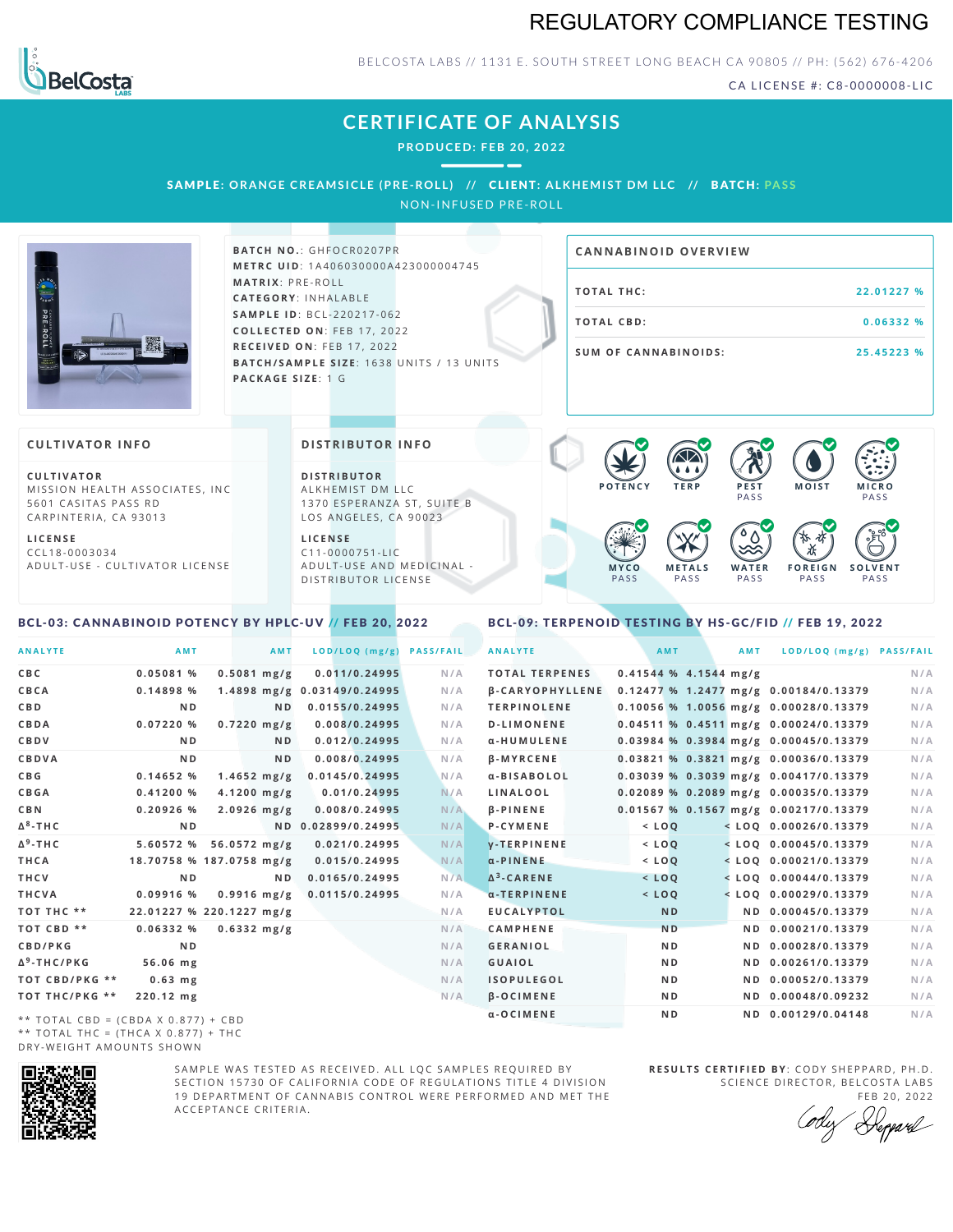# REGULATORY COMPLIANCE TESTING



### BELCOSTA LABS // 1131 E. SOUTH STREET LONG BEACH CA 90805 // PH: (562) 676-4206

CA LICENSE #: C8-0000008-LIC

**M O IS T M IC R O PASS** 

**S O L V E N T** PA S S

# **CERTIFICATE OF ANALYSIS**

**PRODUCED: F EB 20, 2022**

SAMPLE: ORANGE CREAMSICLE (PRE-ROLL) // CLIENT: ALKHEMIST DM LLC // BATCH: PASS

NON-INFUSED PRE-ROLL



**BATCH NO.: GHFOCR0207PR M E T R C U ID** :1 A 4 0 6 0 3 0 0 0 0 A 4 2 3 0 0 0 0 0 4 7 4 5 **M AT R I X** :P R E - R O L L **CAT E G O R Y** : I N H A L A B L E **SA M P L E I D** :B C L - 2 2 0 2 1 7 - 0 6 2 **C O L L E C T E D O N** :F E B 1 7 , 2 0 2 2 **R E C E I V E D O N** : F E B 1 7 , 2 0 2 2 **BATCH/SAMPLE SIZE:** 1638 UNITS / 13 UNITS **PAC KA G E S I Z E** : 1 G

| <b>CANNABINOID OVERVIEW</b> |            |
|-----------------------------|------------|
| TOTAL THC:                  | 22.01227 % |
| TOTAL CBD:                  | 0.06332%   |
| <b>SUM OF CANNABINOIDS:</b> | 25.45223 % |

PA S S

 $\bullet$  60 60 60 60

 $\bullet$  0.0 0.0 0.0

**W A T E R** PA S S

**F O R E I G N** PA S S

祇

### **CULTIVATOR I N FO**

**C U L T I VAT O R** MISSION HEALTH ASSOCIATES, INC. 5601 CASITAS PASS RD CARPINTERIA, CA 93013

**L I C E N S E** C C L 1 8 - 0 0 0 3 0 3 4 A D U L T - U S E - C U L T I V A T O R L I C E N S E

#### **DI STRIBUTOR I N FO**

**D I S T R IB U T O R** ALKHEMIST DM LLC 1370 ESPERANZA ST, SUITE B LOS ANGELES, CA 90023

**L I C E N S E** C 1 1 - 0 0 0 0 7 5 1 - L I C A D U L T - U S E A N D M E D I C I N A L -D ISTRIBUTOR LICENSE

### <span id="page-0-0"></span>BCL-03: CANNABINOID POTENCY BY HPLC-UV // FEB 20, 2022

#### <span id="page-0-1"></span>BCL-09: TERPENOID TESTING BY HS-GC/FID // FEB 19, 2022

**M E T A L S** PA S S

**M Y C O** PA S S

**P O T E N C Y T E R P P E S T**

| <b>ANALYTE</b>                      | AMT                      | <b>AMT</b>       | LOD/LOQ (mg/g)              | <b>PASS/FAIL</b> | <b>ANALYTE</b>                | <b>AMT</b>              |     | <b>AMT</b> | LOD/LOQ (mg/g) PASS/FAIL              |     |
|-------------------------------------|--------------------------|------------------|-----------------------------|------------------|-------------------------------|-------------------------|-----|------------|---------------------------------------|-----|
| C B C                               | 0.05081 %                | $0.5081$ mg/g    | 0.011/0.24995               | N/A              | <b>TOTAL TERPENES</b>         | $0.41544$ % 4.1544 mg/g |     |            |                                       | N/A |
| CBCA                                | 0.14898%                 |                  | 1.4898 mg/g 0.03149/0.24995 | N/A              | <b><i>B-CARYOPHYLLENE</i></b> |                         |     |            | 0.12477 % 1.2477 mg/g 0.00184/0.13379 | N/A |
| C B D                               | N <sub>D</sub>           | N <sub>D</sub>   | 0.0155/0.24995              | N/A              | <b>TERPINOLENE</b>            |                         |     |            | 0.10056 % 1.0056 mg/g 0.00028/0.13379 | N/A |
| CBDA                                | 0.07220%                 | $0.7220$ mg/g    | 0.008/0.24995               | N/A              | <b>D-LIMONENE</b>             |                         |     |            | 0.04511 % 0.4511 mg/g 0.00024/0.13379 | N/A |
| <b>CBDV</b>                         | ND.                      | N <sub>D</sub>   | 0.012/0.24995               | N/A              | α-HUMULENE                    |                         |     |            | 0.03984 % 0.3984 mg/g 0.00045/0.13379 | N/A |
| <b>CBDVA</b>                        | N <sub>D</sub>           | N <sub>D</sub>   | 0.008/0.24995               | N/A              | <b>B-MYRCENE</b>              |                         |     |            | 0.03821 % 0.3821 mg/g 0.00036/0.13379 | N/A |
| C B G                               | 0.14652%                 | $1.4652 \; mg/g$ | 0.0145/0.24995              | N/A              | a-BISABOLOL                   |                         |     |            | 0.03039 % 0.3039 mg/g 0.00417/0.13379 | N/A |
| <b>CBGA</b>                         | 0.41200%                 | $4.1200$ mg/g    | 0.01/0.24995                | N/A              | LINALOOL                      |                         |     |            | 0.02089 % 0.2089 mg/g 0.00035/0.13379 | N/A |
| C B N                               | $0.20926$ %              | $2.0926$ mg/g    | 0.008/0.24995               | N/A              | $\beta$ -PINENE               |                         |     |            | 0.01567 % 0.1567 mg/g 0.00217/0.13379 | N/A |
| Δ <sup>8</sup> -ΤΗ C                | N <sub>D</sub>           |                  | ND 0.02899/0.24995          | N/A              | P-CYMENE                      | $<$ $L O Q$             |     |            | $<$ LOQ 0.00026/0.13379               | N/A |
| Δ <sup>9</sup> -ΤΗ C                | 5.60572 %                | 56.0572 mg/g     | 0.021/0.24995               | N/A              | <b>V-TERPINENE</b>            | $<$ LOQ                 |     |            | $<$ LOO 0.00045/0.13379               | N/A |
| THCA                                | 18.70758 % 187.0758 mg/g |                  | 0.015/0.24995               | N/A              | $\alpha$ -PINENE              | $<$ LOQ                 |     |            | $<$ LOQ 0.00021/0.13379               | N/A |
| THCV                                | N <sub>D</sub>           | ND.              | 0.0165/0.24995              | N/A              | $\Delta^3$ -CARENE            | $<$ LOQ                 |     |            | $<$ LOQ 0.00044/0.13379               | N/A |
| THCVA                               | $0.09916$ %              | $0.9916$ mg/g    | 0.0115/0.24995              | N/A              | α-TERPINENE                   | $<$ LOQ                 |     |            | $<$ LOQ 0.00029/0.13379               | N/A |
| тот тнс **                          | 22.01227 % 220.1227 mg/g |                  |                             | N/A              | <b>EUCALYPTOL</b>             | <b>ND</b>               |     |            | ND 0.00045/0.13379                    | N/A |
| TOT CBD **                          | 0.06332%                 | $0.6332$ mg/g    |                             | N/A              | <b>CAMPHENE</b>               | <b>ND</b>               |     |            | ND 0.00021/0.13379                    | N/A |
| <b>CBD/PKG</b>                      | N <sub>D</sub>           |                  |                             | N/A              | <b>GERANIOL</b>               | N <sub>D</sub>          |     |            | ND 0.00028/0.13379                    | N/A |
| Δ <sup>9</sup> -THC/PKG             | 56.06 mg                 |                  |                             | N/A              | <b>GUAIOL</b>                 | N <sub>D</sub>          |     |            | ND 0.00261/0.13379                    | N/A |
| ТОТ СВD/РКG **                      | $0.63$ mg                |                  |                             | N/A              | <b>ISOPULEGOL</b>             | N <sub>D</sub>          |     |            | ND 0.00052/0.13379                    | N/A |
| ТОТ ТНС/РКG **                      | 220.12 mg                |                  |                             | N/A              | <b>B-OCIMENE</b>              |                         | N D |            | ND 0.00048/0.09232                    | N/A |
| ** TOTAL CBD = (CBDA X 0.877) + CBD |                          |                  |                             |                  | α-OCIMENE                     | N <sub>D</sub>          |     |            | ND 0.00129/0.04148                    | N/A |
|                                     |                          |                  |                             |                  |                               |                         |     |            |                                       |     |

\*\* TOTAL CBD = (CBDA X 0.877) + CBD \*\* TOTAL THC =  $(THCA X 0.877) + THC$ DRY-WEIGHT AMOUNTS SHOWN



SAMPLE WAS TESTED AS RECEIVED. ALL LOC SAMPLES REQUIRED BY SECTION 15730 OF CALIFORNIA CODE OF REGULATIONS TITLE 4 DIVISION 19 DEPARTMENT OF CANNABIS CONTROL WERE PERFORMED AND MET THE A C C E P T A N C E C R I T E R I A .

**R E S U L T S C E R T I F I E D BY** : C O D Y S H E P P A R D ,P H .D . SCIENCE DIRECTOR, BELCOSTA LABS

FEB 20, 2022 Heppard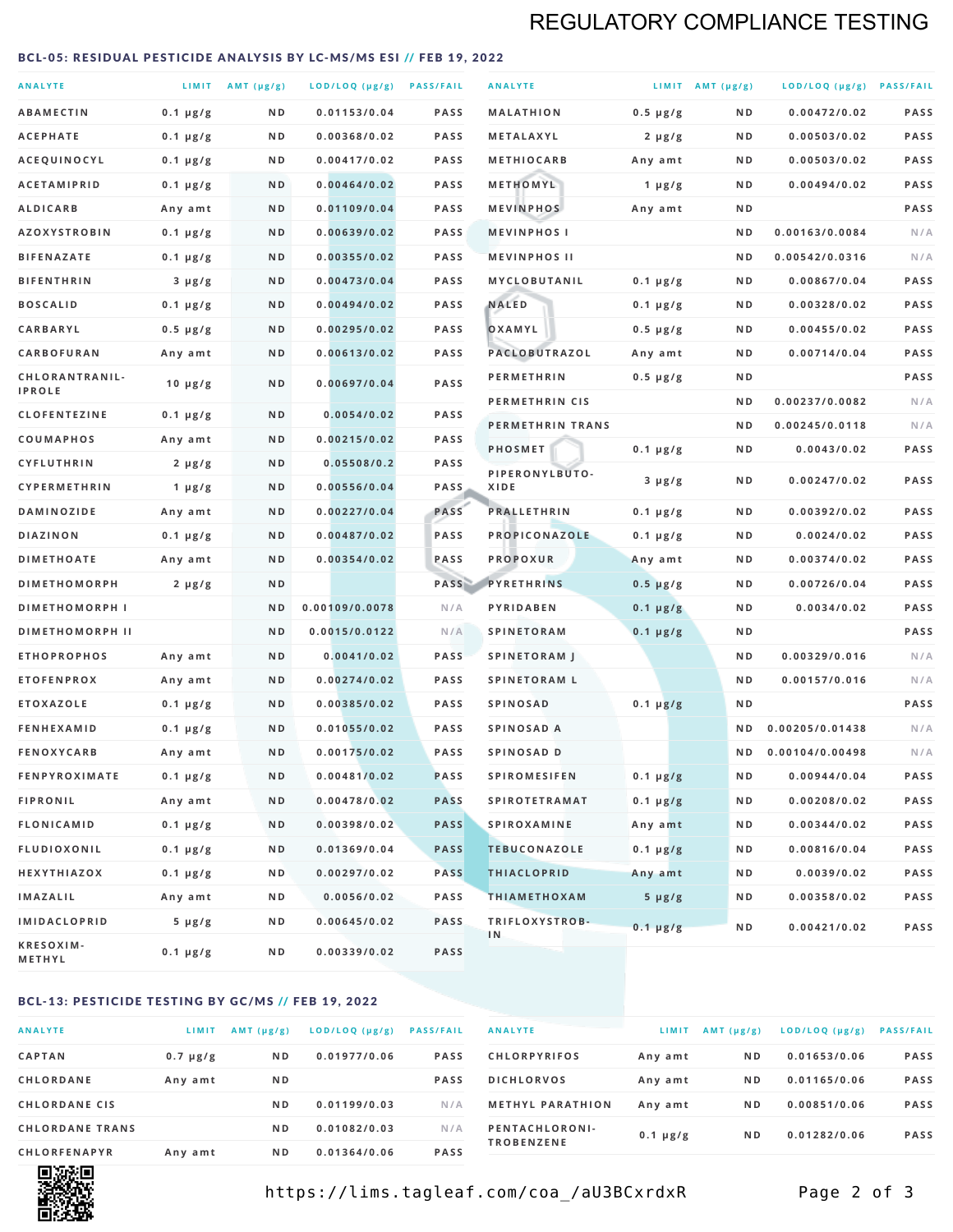# REGULATORY COMPLIANCE TESTING

#### <span id="page-1-0"></span>BCL-05: RESIDUAL PESTICIDE ANALYSIS BY LC-MS/MS ESI // FEB 19, 2022

| <b>ANALYTE</b>                  |                  | LIMIT $AMT (\mu g/g)$ | LOD/LOQ (µg/g) PASS/FAIL |             | <b>ANALYTE</b>         |               | LIMIT AMT $(\mu g/g)$ | LOD/LOQ (µg/g) PASS/FAIL |             |
|---------------------------------|------------------|-----------------------|--------------------------|-------------|------------------------|---------------|-----------------------|--------------------------|-------------|
| <b>ABAMECTIN</b>                | $0.1 \mu g/g$    | N D                   | 0.01153/0.04             | <b>PASS</b> | <b>MALATHION</b>       | $0.5 \mu g/g$ | N D                   | 0.00472/0.02             | <b>PASS</b> |
| <b>ACEPHATE</b>                 | $0.1 \mu g/g$    | N D                   | 0.00368/0.02             | PASS        | <b>METALAXYL</b>       | $2 \mu g/g$   | N D                   | 0.00503/0.02             | PASS        |
| ACEQUINOCYL                     | $0.1 \mu g/g$    | N D                   | 0.00417/0.02             | <b>PASS</b> | <b>METHIOCARB</b>      | Any amt       | N D                   | 0.00503/0.02             | PASS        |
| <b>ACETAMIPRID</b>              | $0.1 \mu g/g$    | N D                   | 0.00464/0.02             | <b>PASS</b> | METHOMYL               | 1 $\mu$ g/g   | N D                   | 0.00494/0.02             | PASS        |
| <b>ALDICARB</b>                 | Any amt          | N D                   | 0.01109/0.04             | <b>PASS</b> | <b>MEVINPHOS</b>       | Any amt       | N D                   |                          | PASS        |
| <b>AZOXYSTROBIN</b>             | $0.1 \mu g/g$    | N D                   | 0.00639/0.02             | PASS        | <b>MEVINPHOSI</b>      |               | N D                   | 0.00163/0.0084           | N/A         |
| <b>BIFENAZATE</b>               | $0.1 \mu g/g$    | N D                   | 0.00355/0.02             | <b>PASS</b> | <b>MEVINPHOS II</b>    |               | N D                   | 0.00542/0.0316           | N/A         |
| <b>BIFENTHRIN</b>               | $3 \mu g/g$      | N D                   | 0.00473/0.04             | <b>PASS</b> | MYCLOBUTANIL           | $0.1 \mu g/g$ | N D                   | 0.00867/0.04             | PASS        |
| <b>BOSCALID</b>                 | $0.1 \mu g/g$    | N D                   | 0.00494/0.02             | <b>PASS</b> | <b>NALED</b>           | $0.1 \mu g/g$ | N D                   | 0.00328/0.02             | PASS        |
| CARBARYL                        | $0.5 \mu g/g$    | N D                   | 0.00295/0.02             | PASS        | OXAMYL                 | $0.5 \mu g/g$ | N D                   | 0.00455/0.02             | PASS        |
| CARBOFURAN                      | Any amt          | N D                   | 0.00613/0.02             | <b>PASS</b> | <b>PACLOBUTRAZOL</b>   | Any amt       | N D                   | 0.00714/0.04             | PASS        |
| CHLORANTRANIL-<br><b>IPROLE</b> | $10 \mu g/g$     | N D                   | 0.00697/0.04             | PASS        | <b>PERMETHRIN</b>      | $0.5 \mu g/g$ | N D                   |                          | PASS        |
| <b>CLOFENTEZINE</b>             | $0.1 \mu g/g$    | N D                   | 0.0054/0.02              | <b>PASS</b> | PERMETHRIN CIS         |               | N D                   | 0.00237/0.0082           | N/A         |
| <b>COUMAPHOS</b>                | Any amt          | N D                   | 0.00215/0.02             | <b>PASS</b> | PERMETHRIN TRANS       |               | N D                   | 0.00245/0.0118           | N/A         |
| <b>CYFLUTHRIN</b>               | $2 \mu g/g$      | N D                   | 0.05508/0.2              | <b>PASS</b> | <b>PHOSMET</b>         | $0.1 \mu g/g$ | N D                   | 0.0043/0.02              | PASS        |
| <b>CYPERMETHRIN</b>             | 1 $\mu$ g/g      | ND                    | 0.00556/0.04             | <b>PASS</b> | PIPERONYLBUTO-<br>XIDE | $3 \mu g/g$   | N D                   | 0.00247/0.02             | PASS        |
| <b>DAMINOZIDE</b>               | Any amt          | N D                   | 0.00227/0.04             | PASS        | <b>PRALLETHRIN</b>     | $0.1 \mu g/g$ | N D                   | 0.00392/0.02             | PASS        |
| DIAZINON                        | $0.1 \mu g/g$    | N D                   | 0.00487/0.02             | PASS        | PROPICONAZOLE          | $0.1 \mu g/g$ | N D                   | 0.0024/0.02              | PASS        |
| <b>DIMETHOATE</b>               | Any amt          | N D                   | 0.00354/0.02             | PASS        | <b>PROPOXUR</b>        | Any amt       | N D                   | 0.00374/0.02             | PASS        |
| <b>DIMETHOMORPH</b>             | $2 \mu g/g$      | N D                   |                          | PASS        | <b>PYRETHRINS</b>      | $0.5 \mu g/g$ | N D                   | 0.00726/0.04             | PASS        |
| <b>DIMETHOMORPH I</b>           |                  | N D                   | 0.00109/0.0078           | N/A         | PYRIDABEN              | $0.1 \mu g/g$ | N D                   | 0.0034/0.02              | PASS        |
| <b>DIMETHOMORPH II</b>          |                  | ND                    | 0.0015/0.0122            | N/A         | <b>SPINETORAM</b>      | $0.1 \mu g/g$ | N D                   |                          | PASS        |
| <b>ETHOPROPHOS</b>              | Any amt          | N D                   | 0.0041/0.02              | <b>PASS</b> | <b>SPINETORAM J</b>    |               | N D                   | 0.00329/0.016            | N/A         |
| <b>ETOFENPROX</b>               | Any amt          | N D                   | 0.00274/0.02             | PASS        | <b>SPINETORAM L</b>    |               | N D                   | 0.00157/0.016            | N/A         |
| <b>ETOXAZOLE</b>                | $0.1 \mu g/g$    | N D                   | 0.00385/0.02             | <b>PASS</b> | <b>SPINOSAD</b>        | $0.1 \mu g/g$ | N D                   |                          | PASS        |
| <b>FENHEXAMID</b>               | $0.1 \mu g/g$    | N D                   | 0.01055/0.02             | <b>PASS</b> | SPINOSAD A             |               | N D                   | 0.00205/0.01438          | N/A         |
| <b>FENOXYCARB</b>               | Any amt          | N D                   | 0.00175/0.02             | <b>PASS</b> | SPINOSAD D             |               | N D                   | 0.00104/0.00498          | N/A         |
| <b>FENPYROXIMATE</b>            | $0.1 \mu g/g$    | N D                   | 0.00481/0.02             | PASS        | <b>SPIROMESIFEN</b>    | $0.1 \mu g/g$ | N D                   | 0.00944/0.04             | PASS        |
| <b>FIPRONIL</b>                 | Any amt          | N D                   | 0.00478/0.02             | <b>PASS</b> | <b>SPIROTETRAMAT</b>   | $0.1 \mu g/g$ | N D                   | 0.00208/0.02             | PASS        |
| FLONICAMID                      | $0.1 \mu g/g$    | N D                   | 0.00398/0.02             | <b>PASS</b> | <b>SPIROXAMINE</b>     | Any amt       | N D                   | 0.00344/0.02             | PASS        |
| <b>FLUDIOXONIL</b>              | $0.1 \mu g/g$    | N D                   | 0.01369/0.04             | <b>PASS</b> | <b>TEBUCONAZOLE</b>    | $0.1 \mu g/g$ | N D                   | 0.00816/0.04             | PASS        |
| HEXYTHIAZOX                     | $0.1 \, \mu g/g$ | N D                   | 0.00297/0.02             | <b>PASS</b> | <b>THIACLOPRID</b>     | Any amt       | N D                   | 0.0039/0.02              | PASS        |
| <b>IMAZALIL</b>                 | Any amt          | N D                   | 0.0056/0.02              | PASS        | <b>THIAMETHOXAM</b>    | $5 \mu g/g$   | N D                   | 0.00358/0.02             | PASS        |
| <b>IMIDACLOPRID</b>             | $5 \mu g/g$      | N D                   | 0.00645/0.02             | <b>PASS</b> | TRIFLOXYSTROB-         | $0.1 \mu g/g$ | N D                   | 0.00421/0.02             | PASS        |
| KRESOXIM-<br><b>METHYL</b>      | $0.1 \mu g/g$    | N D                   | 0.00339/0.02             | <b>PASS</b> | 1N                     |               |                       |                          |             |

### BCL-13: PESTICIDE TESTING BY GC/MS // FEB 19, 2022

| <b>ANALYTE</b>         | LIMIT         | $AMT$ ( $\mu g/g$ ) | LOD/LOQ (µg/g) | <b>PASS/FAIL</b> |
|------------------------|---------------|---------------------|----------------|------------------|
| <b>CAPTAN</b>          | $0.7 \mu g/g$ | N <sub>D</sub>      | 0.01977/0.06   | <b>PASS</b>      |
| CHLORDANE              | Any amt       | N <sub>D</sub>      |                | <b>PASS</b>      |
| <b>CHLORDANE CIS</b>   |               | N <sub>D</sub>      | 0.01199/0.03   | N/A              |
| <b>CHLORDANE TRANS</b> |               | N <sub>D</sub>      | 0.01082/0.03   | N/A              |
| <b>CHLORFENAPYR</b>    | Any amt       | N <sub>D</sub>      | 0.01364/0.06   | <b>PASS</b>      |

| <b>ANALYTE</b>                      | LIMIT         | AMT $(\mu g/g)$ | $LOD/LOQ$ ( $\mu g/g$ ) | <b>PASS/FAIL</b> |
|-------------------------------------|---------------|-----------------|-------------------------|------------------|
| <b>CHLORPYRIFOS</b>                 | Any amt       | N D             | 0.01653/0.06            | <b>PASS</b>      |
| <b>DICHLORVOS</b>                   | Any amt       | N <sub>D</sub>  | 0.01165/0.06            | <b>PASS</b>      |
| <b>METHYL PARATHION</b>             | Any amt       | N <sub>D</sub>  | 0.00851/0.06            | <b>PASS</b>      |
| PENTACHLORONI-<br><b>TROBENZENE</b> | $0.1 \mu g/g$ | N <sub>D</sub>  | 0.01282/0.06            | <b>PASS</b>      |